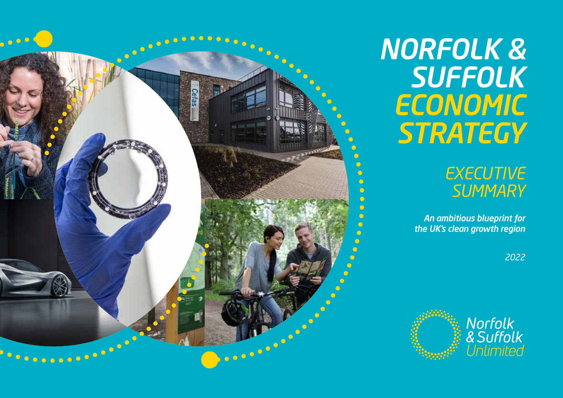

# *NORFOLK & SUFFOLK ECONOMIC STRATEGY*

## *EXECUTIVE SUMMARY*

 *An ambitious blueprint for the UK's clean growth region*

*2022*

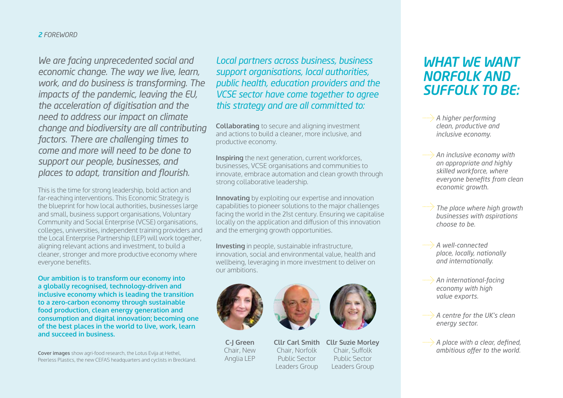### *2 FOREWORD*

*We are facing unprecedented social and economic change. The way we live, learn, work, and do business is transforming. The impacts of the pandemic, leaving the EU, the acceleration of digitisation and the need to address our impact on climate change and biodiversity are all contributing factors. There are challenging times to come and more will need to be done to support our people, businesses, and places to adapt, transition and flourish.* 

This is the time for strong leadership, bold action and far-reaching interventions. This Economic Strategy is the blueprint for how local authorities, businesses large and small, business support organisations, Voluntary Community and Social Enterprise (VCSE) organisations, colleges, universities, independent training providers and the Local Enterprise Partnership (LEP) will work together, aligning relevant actions and investment, to build a cleaner, stronger and more productive economy where everyone benefits.

**Our ambition is to transform our economy into a globally recognised, technology-driven and inclusive economy which is leading the transition to a zero-carbon economy through sustainable food production, clean energy generation and consumption and digital innovation; becoming one of the best places in the world to live, work, learn and succeed in business.**

**Cover images** show agri-food research, the Lotus Evija at Hethel, Peerless Plastics, the new CEFAS headquarters and cyclists in Breckland. *Local partners across business, business support organisations, local authorities, public health, education providers and the VCSE sector have come together to agree this strategy and are all committed to:*

**Collaborating** to secure and aligning investment and actions to build a cleaner, more inclusive, and productive economy.

**Inspiring** the next generation, current workforces, businesses, VCSE organisations and communities to innovate, embrace automation and clean growth through strong collaborative leadership.

**Innovating** by exploiting our expertise and innovation capabilities to pioneer solutions to the major challenges facing the world in the 21st century. Ensuring we capitalise locally on the application and diffusion of this innovation and the emerging growth opportunities.

**Investing** in people, sustainable infrastructure, innovation, social and environmental value, health and wellbeing, leveraging in more investment to deliver on our ambitions.



**C-J Green** Chair, New Anglia LEP



**Cllr Carl Smith**  Chair, Norfolk Public Sector Leaders Group **Cllr Suzie Morley**  Chair, Suffolk Public Sector Leaders Group

## *WHAT WE WANT NORFOLK AND SUFFOLK TO BE:*

*A higher performing clean, productive and inclusive economy.*

*An inclusive economy with an appropriate and highly skilled workforce, where everyone benefits from clean economic growth.* 

*The place where high growth businesses with aspirations choose to be.* 

*A well-connected place, locally, nationally and internationally.* 

*An international-facing economy with high value exports.*

*A centre for the UK's clean energy sector.*

**A place with a clear, defined,** *ambitious offer to the world.*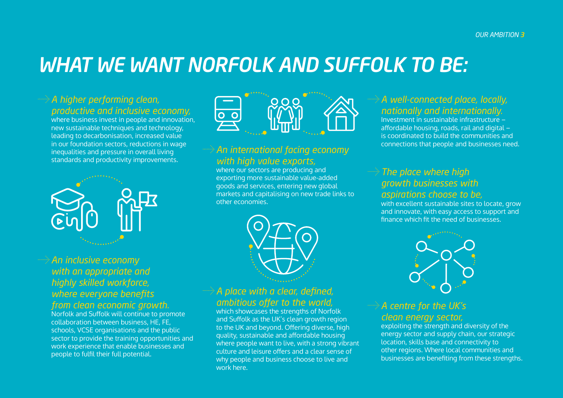## *WHAT WE WANT NORFOLK AND SUFFOLK TO BE:*

## *A higher performing clean, productive and inclusive economy,*

where business invest in people and innovation, new sustainable techniques and technology, leading to decarbonisation, increased value in our foundation sectors, reductions in wage inequalities and pressure in overall living standards and productivity improvements.



# $\circ$

## *An international facing economy with high value exports,*

where our sectors are producing and exporting more sustainable value-added goods and services, entering new global markets and capitalising on new trade links to other economies.



## *A place with a clear, defined, ambitious offer to the world,*

which showcases the strengths of Norfolk and Suffolk as the UK's clean growth region to the UK and beyond. Offering diverse, high quality, sustainable and affordable housing where people want to live, with a strong vibrant culture and leisure offers and a clear sense of why people and business choose to live and work here.

## *A well-connected place, locally, nationally and internationally.*

Investment in sustainable infrastructure – affordable housing, roads, rail and digital – is coordinated to build the communities and connections that people and businesses need.

## *The place where high growth businesses with aspirations choose to be,*

with excellent sustainable sites to locate, grow and innovate, with easy access to support and finance which fit the need of businesses.



### *A centre for the UK's clean energy sector,*

exploiting the strength and diversity of the energy sector and supply chain, our strategic location, skills base and connectivity to other regions. Where local communities and businesses are benefiting from these strengths.

## *An inclusive economy with an appropriate and highly skilled workforce, where everyone benefits from clean economic growth.*

Norfolk and Suffolk will continue to promote collaboration between business, HE, FE, schools, VCSE organisations and the public sector to provide the training opportunities and work experience that enable businesses and people to fulfil their full potential.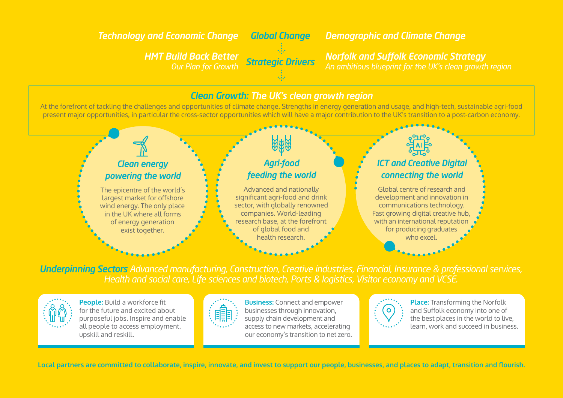## *Technology and Economic Change Global Change Demographic and Climate Change*

*Strategic Drivers HMT Build Back Better Our Plan for Growth*

*Norfolk and Suffolk Economic Strategy An ambitious blueprint for the UK's clean growth region*

## *Clean Growth: The UK's clean growth region*

At the forefront of tackling the challenges and opportunities of climate change. Strengths in energy generation and usage, and high-tech, sustainable agri-food present major opportunities, in particular the cross-sector opportunities which will have a major contribution to the UK's transition to a post-carbon economy.



*Underpinning Sectors Advanced manufacturing, Construction, Creative industries, Financial, Insurance & professional services, Health and social care, Life sciences and biotech, Ports & logistics, Visitor economy and VCSE.*



**People:** Build a workforce fit for the future and excited about purposeful jobs. Inspire and enable all people to access employment, upskill and reskill.



**Business:** Connect and empower businesses through innovation, supply chain development and access to new markets, accelerating our economy's transition to net zero.



**Place:** Transforming the Norfolk and Suffolk economy into one of the best places in the world to live, learn, work and succeed in business.

**Local partners are committed to collaborate, inspire, innovate, and invest to support our people, businesses, and places to adapt, transition and flourish.**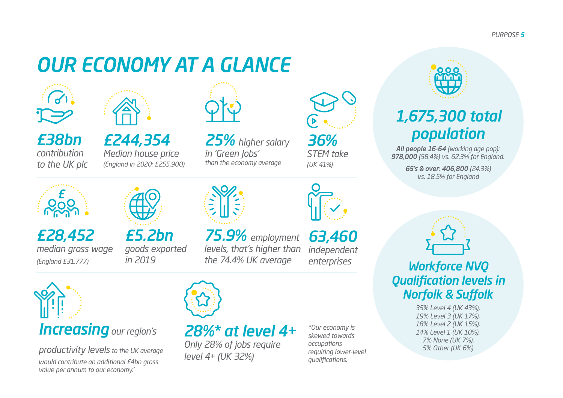*PURPOSE 5*

## *OUR ECONOMY AT A GLANCE*





*£38bn contribution to the UK plc*

*£28,452*

*(England £31,777)* 

*median gross wage*

*£244,354 Median house price (England in 2020: £255,900)*

*£5.2bn*

*in 2019*

*goods exported* 



*25% higher salary in 'Green Jobs' than the economy average*

*36% STEM take (UK 41%)*



*75.9% employment levels, that's higher than the 74.4% UK average*

*63,460 independent enterprises*



*productivity levels to the UK average would contribute an additional £4bn gross value per annum to our economy.'*



*28%\* at level 4+*

*Only 28% of jobs require level 4+ (UK 32%)*

*\*Our economy is skewed towards occupations requiring lower-level qualifications.* 



## *1,675,300 total population*

*All people 16-64 (working age pop): 978,000 (58.4%) vs. 62.3% for England.*

> *65's & over: 406,800 (24.3%) vs. 18.5% for England*

*Workforce NVQ Qualification levels in Norfolk & Suffolk*

> *35% Level 4 (UK 43%), 19% Level 3 (UK 17%), 18% Level 2 (UK 15%), 14% Level 1 (UK 10%), 7% None (UK 7%), 5% Other (UK 6%)*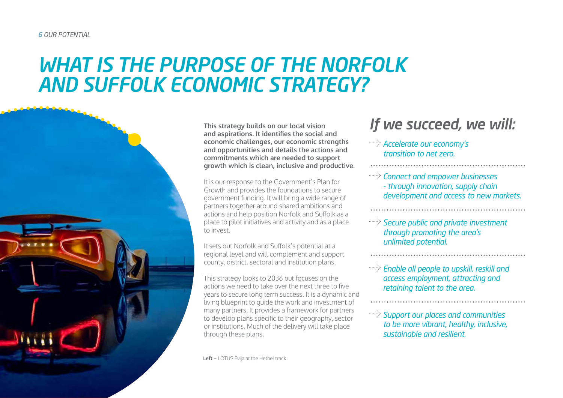## *WHAT IS THE PURPOSE OF THE NORFOLK AND SUFFOLK ECONOMIC STRATEGY?*



**This strategy builds on our local vision and aspirations. It identifies the social and economic challenges, our economic strengths and opportunities and details the actions and commitments which are needed to support growth which is clean, inclusive and productive.**

It is our response to the Government's Plan for Growth and provides the foundations to secure government funding. It will bring a wide range of partners together around shared ambitions and actions and help position Norfolk and Suffolk as a place to pilot initiatives and activity and as a place to invest.

It sets out Norfolk and Suffolk's potential at a regional level and will complement and support county, district, sectoral and institution plans.

This strategy looks to 2036 but focuses on the actions we need to take over the next three to five years to secure long term success. It is a dynamic and living blueprint to guide the work and investment of many partners. It provides a framework for partners to develop plans specific to their geography, sector or institutions. Much of the delivery will take place through these plans.

**Left** − LOTUS Evija at the Hethel track

## *If we succeed, we will:*

- *Accelerate our economy's transition to net zero.*
- *Connect and empower businesses - through innovation, supply chain development and access to new markets.*
- **Secure public and private investment** *through promoting the area's unlimited potential.*
- *Enable all people to upskill, reskill and access employment, attracting and retaining talent to the area.*
- *Support our places and communities to be more vibrant, healthy, inclusive, sustainable and resilient.*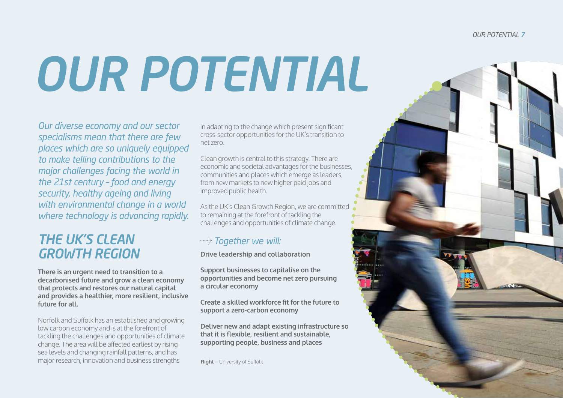#### *OUR POTENTIAL 7*

# *OUR POTENTIAL*

*Our diverse economy and our sector specialisms mean that there are few places which are so uniquely equipped to make telling contributions to the major challenges facing the world in the 21st century – food and energy security, healthy ageing and living with environmental change in a world where technology is advancing rapidly.*

## *THE UK'S CLEAN GROWTH REGION*

**There is an urgent need to transition to a decarbonised future and grow a clean economy that protects and restores our natural capital and provides a healthier, more resilient, inclusive future for all.**

Norfolk and Suffolk has an established and growing low carbon economy and is at the forefront of tackling the challenges and opportunities of climate change. The area will be affected earliest by rising sea levels and changing rainfall patterns, and has major research, innovation and business strengths

in adapting to the change which present significant cross-sector opportunities for the UK's transition to net zero.

Clean growth is central to this strategy. There are economic and societal advantages for the businesses, communities and places which emerge as leaders, from new markets to new higher paid jobs and improved public health.

As the UK's Clean Growth Region, we are committed to remaining at the forefront of tackling the challenges and opportunities of climate change.

## *Together we will:*

**Drive leadership and collaboration**

**Support businesses to capitalise on the opportunities and become net zero pursuing a circular economy** 

**Create a skilled workforce fit for the future to support a zero-carbon economy** 

**Deliver new and adapt existing infrastructure so that it is flexible, resilient and sustainable, supporting people, business and places**

**Right** − University of Suffolk

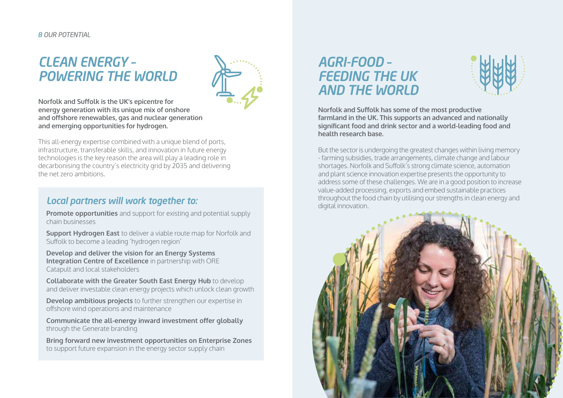### *8 OUR POTENTIAL*

## *CLEAN ENERGY – POWERING THE WORLD*



**Norfolk and Suffolk is the UK's epicentre for energy generation with its unique mix of onshore and offshore renewables, gas and nuclear generation and emerging opportunities for hydrogen.** 

This all-energy expertise combined with a unique blend of ports, infrastructure, transferable skills, and innovation in future energy technologies is the key reason the area will play a leading role in decarbonising the country's electricity grid by 2035 and delivering the net zero ambitions.

### *Local partners will work together to:*

**Promote opportunities** and support for existing and potential supply chain businesses

**Support Hydrogen East** to deliver a viable route map for Norfolk and Suffolk to become a leading 'hydrogen region'

**Develop and deliver the vision for an Energy Systems Integration Centre of Excellence** in partnership with ORE Catapult and local stakeholders

**Collaborate with the Greater South East Energy Hub** to develop and deliver investable clean energy projects which unlock clean growth

**Develop ambitious projects** to further strengthen our expertise in offshore wind operations and maintenance

**Communicate the all-energy inward investment offer globally** through the Generate branding

**Bring forward new investment opportunities on Enterprise Zones** to support future expansion in the energy sector supply chain

## *AGRI-FOOD – FEEDING THE UK AND THE WORLD*



**Norfolk and Suffolk has some of the most productive farmland in the UK. This supports an advanced and nationally significant food and drink sector and a world-leading food and health research base.** 

But the sector is undergoing the greatest changes within living memory - farming subsidies, trade arrangements, climate change and labour shortages. Norfolk and Suffolk's strong climate science, automation and plant science innovation expertise presents the opportunity to address some of these challenges. We are in a good position to increase value-added processing, exports and embed sustainable practices throughout the food chain by utilising our strengths in clean energy and digital innovation.

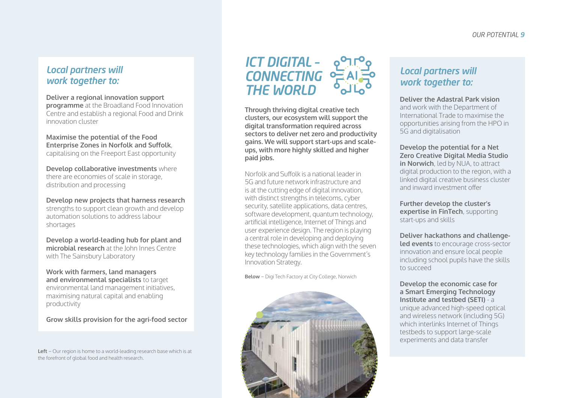## *Local partners will work together to:*

### **Deliver a regional innovation support**

**programme** at the Broadland Food Innovation Centre and establish a regional Food and Drink innovation cluster

#### **Maximise the potential of the Food Enterprise Zones in Norfolk and Suffolk**, capitalising on the Freeport East opportunity

**Develop collaborative investments** where there are economies of scale in storage, distribution and processing

**Develop new projects that harness research**  strengths to support clean growth and develop automation solutions to address labour shortages

**Develop a world-leading hub for plant and microbial research** at the John Innes Centre with The Sainsbury Laboratory

**Work with farmers, land managers and environmental specialists** to target environmental land management initiatives, maximising natural capital and enabling productivity

**Grow skills provision for the agri-food sector** 

**Left** − Our region is home to a world-leading research base which is at the forefront of global food and health research.

## *ICT DIGITAL – CONNECTING THE WORLD*

**Through thriving digital creative tech clusters, our ecosystem will support the digital transformation required across sectors to deliver net zero and productivity gains. We will support start-ups and scaleups, with more highly skilled and higher paid jobs.** 

Norfolk and Suffolk is a national leader in 5G and future network infrastructure and is at the cutting edge of digital innovation, with distinct strengths in telecoms, cyber security, satellite applications, data centres, software development, quantum technology, artificial intelligence, Internet of Things and user experience design. The region is playing a central role in developing and deploying these technologies, which align with the seven key technology families in the Government's Innovation Strategy.

**Below** − Digi Tech Factory at City College, Norwich



## *Local partners will work together to:*

#### **Deliver the Adastral Park vision**

and work with the Department of International Trade to maximise the opportunities arising from the HPO in 5G and digitalisation

#### **Develop the potential for a Net Zero Creative Digital Media Studio in Norwich**, led by NUA, to attract digital production to the region, with a linked digital creative business cluster and inward investment offer

**Further develop the cluster's expertise in FinTech**, supporting start-ups and skills

**Deliver hackathons and challengeled events** to encourage cross-sector innovation and ensure local people including school pupils have the skills to succeed

**Develop the economic case for a Smart Emerging Technology Institute and testbed (SETI)** - a unique advanced high-speed optical and wireless network (including 5G) which interlinks Internet of Things testbeds to support large-scale experiments and data transfer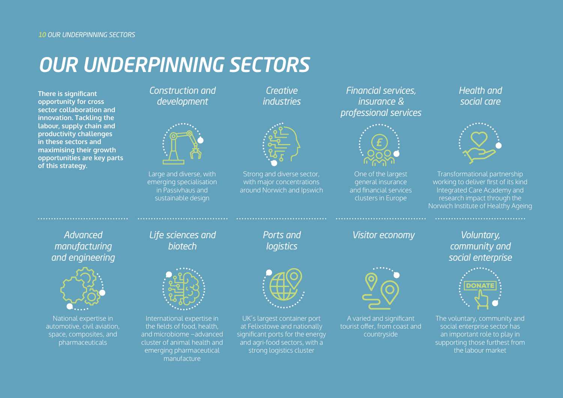## *OUR UNDERPINNING SECTORS*

**There is significant opportunity for cross sector collaboration and innovation. Tackling the labour, supply chain and productivity challenges in these sectors and maximising their growth opportunities are key parts of this strategy.**

*Construction and development*



Large and diverse, with emerging specialisation in Passivhaus and sustainable design

*Creative industries*



Strong and diverse sector, with major concentrations around Norwich and Ipswich

*Financial services, insurance & professional services*



One of the largest general insurance and financial services clusters in Europe

*Health and social care*



Transformational partnership working to deliver first of its kind Integrated Care Academy and research impact through the Norwich Institute of Healthy Ageing

*Advanced manufacturing and engineering*



National expertise in automotive, civil aviation, space, composites, and pharmaceuticals

*biotech*



International expertise in the fields of food, health, and microbiome −advanced cluster of animal health and emerging pharmaceutical manufacture

*Ports and logistics*



UK's largest container port at Felixstowe and nationally significant ports for the energy and agri-food sectors, with a strong logistics cluster

*Life sciences and* Ports and Visitor economy



A varied and significant tourist offer, from coast and countryside

*Voluntary, community and social enterprise*



The voluntary, community and social enterprise sector has an important role to play in supporting those furthest from the labour market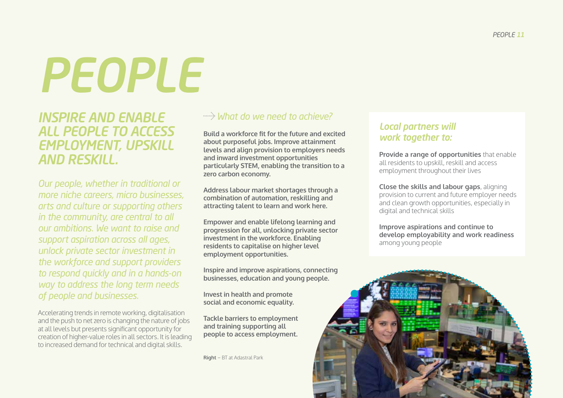# *PEOPLE*

*INSPIRE AND ENABLE ALL PEOPLE TO ACCESS EMPLOYMENT, UPSKILL AND RESKILL.*

*Our people, whether in traditional or more niche careers, micro businesses, arts and culture or supporting others in the community, are central to all our ambitions. We want to raise and support aspiration across all ages, unlock private sector investment in the workforce and support providers to respond quickly and in a hands-on way to address the long term needs of people and businesses.*

Accelerating trends in remote working, digitalisation and the push to net zero is changing the nature of jobs at all levels but presents significant opportunity for creation of higher-value roles in all sectors. It is leading to increased demand for technical and digital skills.

## *What do we need to achieve?*

**Build a workforce fit for the future and excited about purposeful jobs. Improve attainment levels and align provision to employers needs and inward investment opportunities particularly STEM, enabling the transition to a zero carbon economy.** 

**Address labour market shortages through a combination of automation, reskilling and attracting talent to learn and work here.** 

**Empower and enable lifelong learning and progression for all, unlocking private sector investment in the workforce. Enabling residents to capitalise on higher level employment opportunities.** 

**Inspire and improve aspirations, connecting businesses, education and young people.** 

**Invest in health and promote social and economic equality.** 

**Tackle barriers to employment and training supporting all people to access employment.** 

**Right** − BT at Adastral Park

## *Local partners will work together to:*

**Provide a range of opportunities** that enable all residents to upskill, reskill and access employment throughout their lives

**Close the skills and labour gaps**, aligning provision to current and future employer needs and clean growth opportunities, especially in digital and technical skills

**Improve aspirations and continue to develop employability and work readiness** among young people

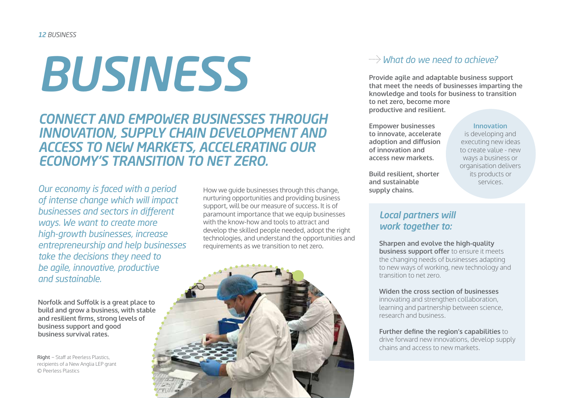# *BUSINESS*

*CONNECT AND EMPOWER BUSINESSES THROUGH INNOVATION, SUPPLY CHAIN DEVELOPMENT AND ACCESS TO NEW MARKETS, ACCELERATING OUR ECONOMY'S TRANSITION TO NET ZERO.* 

*Our economy is faced with a period of intense change which will impact businesses and sectors in different ways. We want to create more high-growth businesses, increase entrepreneurship and help businesses take the decisions they need to be agile, innovative, productive and sustainable.* 

**Norfolk and Suffolk is a great place to build and grow a business, with stable and resilient firms, strong levels of business support and good business survival rates.** 

**Right** − Staff at Peerless Plastics, recipients of a New Anglia LEP grant © Peerless Plastics

How we guide businesses through this change, nurturing opportunities and providing business support, will be our measure of success. It is of paramount importance that we equip businesses with the know-how and tools to attract and develop the skilled people needed, adopt the right technologies, and understand the opportunities and requirements as we transition to net zero.



## *What do we need to achieve?*

**Provide agile and adaptable business support that meet the needs of businesses imparting the knowledge and tools for business to transition to net zero, become more productive and resilient.** 

**Empower businesses to innovate, accelerate adoption and diffusion of innovation and access new markets.** 

**Build resilient, shorter and sustainable supply chains.** 

#### **Innovation**

is developing and executing new ideas to create value - new ways a business or organisation delivers its products or services.

## *Local partners will work together to:*

**Sharpen and evolve the high-quality business support offer** to ensure it meets the changing needs of businesses adapting to new ways of working, new technology and transition to net zero.

#### **Widen the cross section of businesses**

innovating and strengthen collaboration, learning and partnership between science, research and business.

### **Further define the region's capabilities** to

drive forward new innovations, develop supply chains and access to new markets.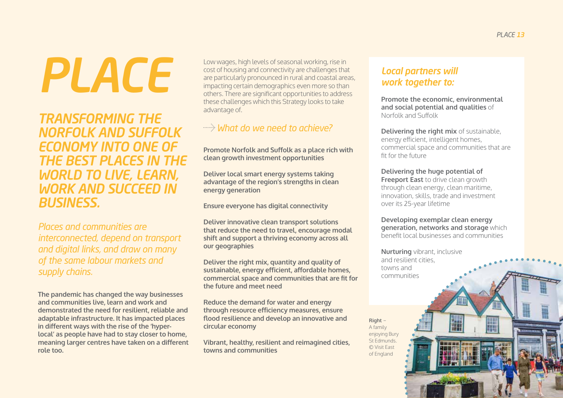# *PLACE*

*TRANSFORMING THE NORFOLK AND SUFFOLK ECONOMY INTO ONE OF THE BEST PLACES IN THE WORLD TO LIVE, LEARN, WORK AND SUCCEED IN BUSINESS.* 

*Places and communities are interconnected, depend on transport and digital links, and draw on many of the same labour markets and supply chains.* 

**The pandemic has changed the way businesses and communities live, learn and work and demonstrated the need for resilient, reliable and adaptable infrastructure. It has impacted places in different ways with the rise of the 'hyperlocal' as people have had to stay closer to home, meaning larger centres have taken on a different role too.** 

Low wages, high levels of seasonal working, rise in cost of housing and connectivity are challenges that are particularly pronounced in rural and coastal areas. impacting certain demographics even more so than others. There are significant opportunities to address these challenges which this Strategy looks to take advantage of.

## *What do we need to achieve?*

**Promote Norfolk and Suffolk as a place rich with clean growth investment opportunities**

**Deliver local smart energy systems taking advantage of the region's strengths in clean energy generation**

**Ensure everyone has digital connectivity** 

**Deliver innovative clean transport solutions that reduce the need to travel, encourage modal shift and support a thriving economy across all our geographies**

**Deliver the right mix, quantity and quality of sustainable, energy efficient, affordable homes, commercial space and communities that are fit for the future and meet need**

**Reduce the demand for water and energy through resource efficiency measures, ensure flood resilience and develop an innovative and circular economy**

**Vibrant, healthy, resilient and reimagined cities, towns and communities** 

## *Local partners will work together to:*

**Promote the economic, environmental and social potential and qualities** of Norfolk and Suffolk

**Delivering the right mix of sustainable,** energy efficient, intelligent homes, commercial space and communities that are fit for the future

**Delivering the huge potential of Freeport East** to drive clean growth through clean energy, clean maritime, innovation, skills, trade and investment over its 25-year lifetime

**Developing exemplar clean energy generation, networks and storage** which benefit local businesses and communities

**Nurturing** vibrant, inclusive and resilient cities, towns and communities

**Right** − A family enjoying Bury St Edmunds. © Visit East of England